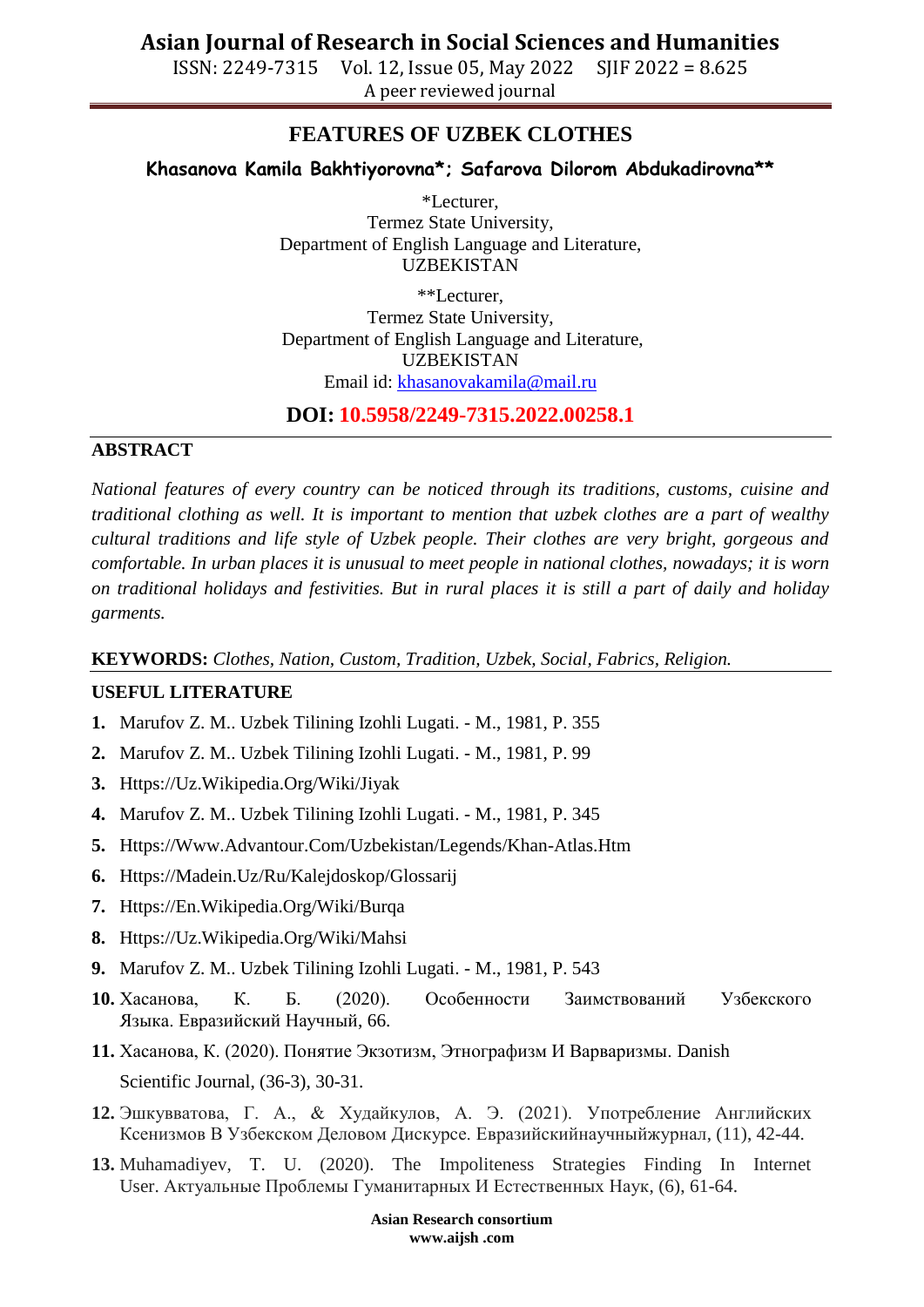ISSN: 2249-7315 Vol. 12, Issue 05, May 2022 SJIF 2022 = 8.625 A peer reviewed journal

# **FEATURES OF UZBEK CLOTHES**

### **Khasanova Kamila Bakhtiyorovna\*; Safarova Dilorom Abdukadirovna\*\***

\*Lecturer, Termez State University, Department of English Language and Literature, UZBEKISTAN

\*\*Lecturer, Termez State University, Department of English Language and Literature, UZBEKISTAN Email id: [khasanovakamila@mail.ru](mailto:khasanovakamila@mail.ru)

**DOI: 10.5958/2249-7315.2022.00258.1**

#### **ABSTRACT**

*National features of every country can be noticed through its traditions, customs, cuisine and traditional clothing as well. It is important to mention that uzbek clothes are a part of wealthy cultural traditions and life style of Uzbek people. Their clothes are very bright, gorgeous and comfortable. In urban places it is unusual to meet people in national clothes, nowadays; it is worn on traditional holidays and festivities. But in rural places it is still a part of daily and holiday garments.*

**KEYWORDS:** *Clothes, Nation, Custom, Tradition, Uzbek, Social, Fabrics, Religion.*

#### **USEFUL LITERATURE**

- **1.** Marufov Z. M.. Uzbek Tilining Izohli Lugati. M., 1981, P. 355
- **2.** Marufov Z. M.. Uzbek Tilining Izohli Lugati. M., 1981, P. 99
- **3.** [Https://Uz.Wikipedia.Org/Wiki/Jiyak](https://uz.wikipedia.org/wiki/jiyak)
- **4.** Marufov Z. M.. Uzbek Tilining Izohli Lugati. M., 1981, P. 345
- **5.** [Https://Www.Advantour.Com/Uzbekistan/Legends/Khan-Atlas.Htm](https://www.advantour.com/uzbekistan/legends/khan-atlas.htm)
- **6.** [Https://Madein.Uz/Ru/Kalejdoskop/Glossarij](https://madein.uz/ru/kalejdoskop)
- **7.** [Https://En.Wikipedia.Org/Wiki/Burqa](https://en.wikipedia.org/wiki/Burqa)
- **8.** [Https://Uz.Wikipedia.Org/Wiki/Mahsi](https://uz.wikipedia.org/wiki/Mahsi)
- **9.** Marufov Z. M.. Uzbek Tilining Izohli Lugati. M., 1981, P. 543
- **10.** Хасанова, К. Б. (2020). Особенности Заимствований Узбекского Языка. Евразийский Научный, 66.
- **11.** Хасанова, К. (2020). Понятие Экзотизм, Этнографизм И Варваризмы. Danish Scientific Journal, (36-3), 30-31.
- **12.** Эшкувватова, Г. А., & Худайкулов, А. Э. (2021). Употребление Английских Ксенизмов В Узбекском Деловом Дискурсе. Евразийскийнаучныйжурнал, (11), 42-44.
- **13.** Muhamadiyev, T. U. (2020). The Impoliteness Strategies Finding In Internet User. Актуальные Проблемы Гуманитарных И Естественных Наук, (6), 61-64.